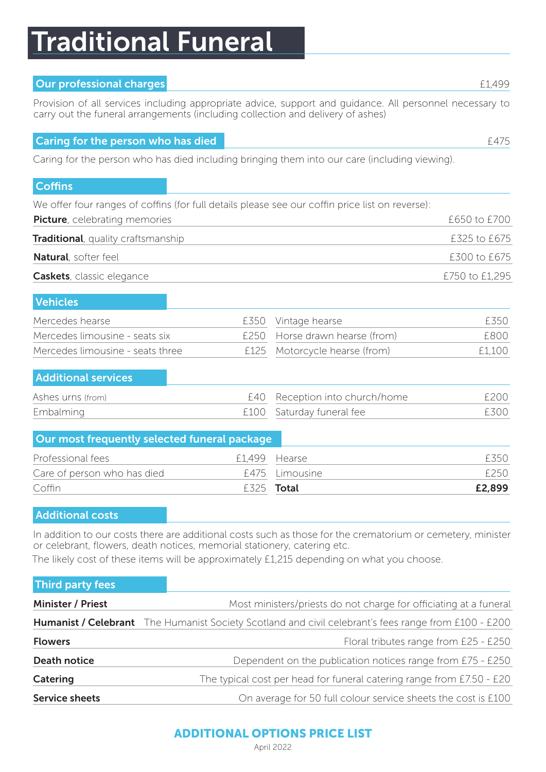# Traditional Funeral

# **Our professional charges <b>ELAS** CONFIDENTIAL CONFIDENTIAL CONFIDENTIAL CONFIDENTIAL CONFIDENTIAL CONFIDENTIAL CONFIDENTIAL CONFIDENTIAL CONFIDENTIAL CONFIDENTIAL CONFIDENTIAL CONFIDENTIAL CONFIDENTIAL CONFIDENTIAL CONFIDE

Provision of all services including appropriate advice, support and guidance. All personnel necessary to carry out the funeral arrangements (including collection and delivery of ashes)

### **Caring for the person who has died [475] Caring for the person who has died [475]**

Caring for the person who has died including bringing them into our care (including viewing).

# **Coffins**

We offer four ranges of coffins (for full details please see our coffin price list on reverse):

| <b>Picture</b> , celebrating memories      | £650 to £700   |
|--------------------------------------------|----------------|
| <b>Traditional</b> , quality craftsmanship | £325 to £675   |
| <b>Natural</b> , softer feel               | £300 to £675   |
| <b>Caskets</b> , classic elegance          | £750 to £1,295 |

| <b>Vehicles</b>                  |                                |        |
|----------------------------------|--------------------------------|--------|
| Mercedes hearse                  | £350 Vintage hearse            | F350.  |
| Mercedes limousine - seats six   | £250 Horse drawn hearse (from) | F800   |
| Mercedes limousine - seats three | £125 Motorcycle hearse (from)  | £1.100 |

### Additional services

| Ashes urns (from) | £40 Reception into church/home | F200 |
|-------------------|--------------------------------|------|
| Embalming         | £100 Saturday funeral fee      | £300 |

| Our most frequently selected funeral package |                           |        |
|----------------------------------------------|---------------------------|--------|
| Professional fees                            | £1,499 Hearse             | F350.  |
| Care of person who has died                  | £475 Limousine            | F250   |
| Coffin                                       | <b>f</b> 325 <b>Total</b> | £2,899 |

### Additional costs

In addition to our costs there are additional costs such as those for the crematorium or cemetery, minister or celebrant, flowers, death notices, memorial stationery, catering etc.

The likely cost of these items will be approximately £1,215 depending on what you choose.

| <b>Third party fees</b>  |                                                                                                      |
|--------------------------|------------------------------------------------------------------------------------------------------|
| <b>Minister / Priest</b> | Most ministers/priests do not charge for officiating at a funeral                                    |
|                          | Humanist / Celebrant The Humanist Society Scotland and civil celebrant's fees range from £100 - £200 |
| <b>Flowers</b>           | Floral tributes range from £25 - £250                                                                |
| Death notice             | Dependent on the publication notices range from £75 - £250                                           |
| Catering                 | The typical cost per head for funeral catering range from £7.50 - £20                                |
| <b>Service sheets</b>    | On average for 50 full colour service sheets the cost is £100                                        |

# ADDITIONAL OPTIONS PRICE LIST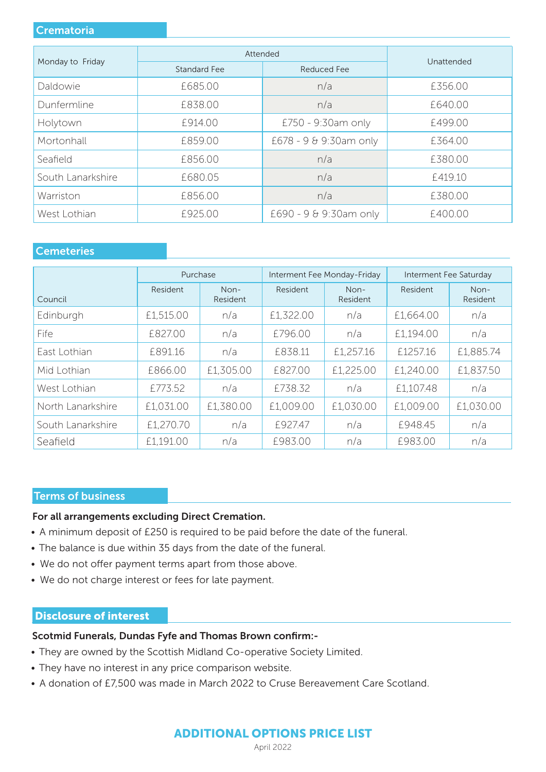### **Crematoria**

|                   | Attended     |                        |            |  |
|-------------------|--------------|------------------------|------------|--|
| Monday to Friday  | Standard Fee | Reduced Fee            | Unattended |  |
| Daldowie          | £685.00      | n/a                    | £356.00    |  |
| Dunfermline       | £838.00      | n/a                    | £640.00    |  |
| Holytown          | £914.00      | £750 - 9:30am only     | £499.00    |  |
| Mortonhall        | £859.00      | £678 - 9 & 9:30am only | £364.00    |  |
| Seafield          | £856.00      | n/a                    | £380.00    |  |
| South Lanarkshire | £680.05      | n/a                    | £419.10    |  |
| Warriston         | £856.00      | n/a                    | £380.00    |  |
| West Lothian      | £925.00      | £690 - 9 & 9:30am only | £400.00    |  |

# **Cemeteries**

|                   | Interment Fee Monday-Friday<br>Purchase |                  | Interment Fee Saturday |                  |           |                    |
|-------------------|-----------------------------------------|------------------|------------------------|------------------|-----------|--------------------|
| Council           | Resident                                | Non-<br>Resident | Resident               | Non-<br>Resident | Resident  | $Non-$<br>Resident |
| Edinburgh         | £1,515.00                               | n/a              | £1,322.00              | n/a              | £1,664.00 | n/a                |
| Fife              | £827.00                                 | n/a              | £796.00                | n/a              | £1,194.00 | n/a                |
| East Lothian      | £891.16                                 | n/a              | £838.11                | £1,257.16        | £1257.16  | £1,885.74          |
| Mid Lothian       | £866.00                                 | £1,305.00        | £827.00                | £1,225.00        | £1,240.00 | £1,837.50          |
| West Lothian      | £773.52                                 | n/a              | £738.32                | n/a              | £1,107.48 | n/a                |
| North Lanarkshire | £1,031.00                               | £1,380.00        | £1,009.00              | £1,030.00        | £1,009.00 | £1,030.00          |
| South Lanarkshire | £1,270.70                               | n/a              | £927.47                | n/a              | £948.45   | n/a                |
| Seafield          | £1,191.00                               | n/a              | £983.00                | n/a              | £983.00   | n/a                |

### Terms of business

### For all arrangements excluding Direct Cremation.

- A minimum deposit of £250 is required to be paid before the date of the funeral.
- The balance is due within 35 days from the date of the funeral.
- We do not offer payment terms apart from those above.
- We do not charge interest or fees for late payment.

### Disclosure of interest

#### Scotmid Funerals, Dundas Fyfe and Thomas Brown confirm:-

- They are owned by the Scottish Midland Co-operative Society Limited.
- They have no interest in any price comparison website.
- A donation of £7,500 was made in March 2022 to Cruse Bereavement Care Scotland.

# ADDITIONAL OPTIONS PRICE LIST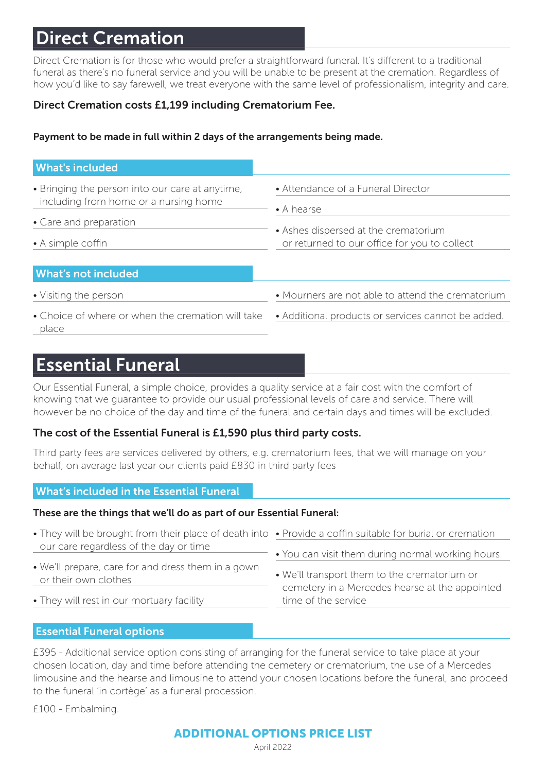# Direct Cremation

Direct Cremation is for those who would prefer a straightforward funeral. It's different to a traditional funeral as there's no funeral service and you will be unable to be present at the cremation. Regardless of how you'd like to say farewell, we treat everyone with the same level of professionalism, integrity and care.

# Direct Cremation costs £1,199 including Crematorium Fee.

# Payment to be made in full within 2 days of the arrangements being made.

| <b>What's included</b>                                                                                                                  |                                                                                                                                                  |
|-----------------------------------------------------------------------------------------------------------------------------------------|--------------------------------------------------------------------------------------------------------------------------------------------------|
| • Bringing the person into our care at anytime,<br>including from home or a nursing home<br>• Care and preparation<br>• A simple coffin | • Attendance of a Funeral Director<br>$\bullet$ A hearse<br>• Ashes dispersed at the crematorium<br>or returned to our office for you to collect |
| <b>What's not included</b>                                                                                                              |                                                                                                                                                  |
| • Visiting the person                                                                                                                   | • Mourners are not able to attend the crematorium                                                                                                |
| • Choice of where or when the cremation will take<br>place                                                                              | • Additional products or services cannot be added.                                                                                               |

# Essential Funeral

Our Essential Funeral, a simple choice, provides a quality service at a fair cost with the comfort of knowing that we guarantee to provide our usual professional levels of care and service. There will however be no choice of the day and time of the funeral and certain days and times will be excluded.

# The cost of the Essential Funeral is £1,590 plus third party costs.

Third party fees are services delivered by others, e.g. crematorium fees, that we will manage on your behalf, on average last year our clients paid £830 in third party fees

# What's included in the Essential Funeral

### These are the things that we'll do as part of our Essential Funeral:

| • They will be brought from their place of death into • Provide a coffin suitable for burial or cremation |                                                                                                                       |  |
|-----------------------------------------------------------------------------------------------------------|-----------------------------------------------------------------------------------------------------------------------|--|
| our care regardless of the day or time                                                                    | . You can visit them during normal working hours                                                                      |  |
| • We'll prepare, care for and dress them in a gown<br>or their own clothes                                | • We'll transport them to the crematorium or<br>cemetery in a Mercedes hearse at the appointed<br>time of the service |  |
| • They will rest in our mortuary facility                                                                 |                                                                                                                       |  |

# Essential Funeral options

£395 - Additional service option consisting of arranging for the funeral service to take place at your chosen location, day and time before attending the cemetery or crematorium, the use of a Mercedes limousine and the hearse and limousine to attend your chosen locations before the funeral, and proceed to the funeral 'in cortège' as a funeral procession.

£100 - Embalming.

# ADDITIONAL OPTIONS PRICE LIST